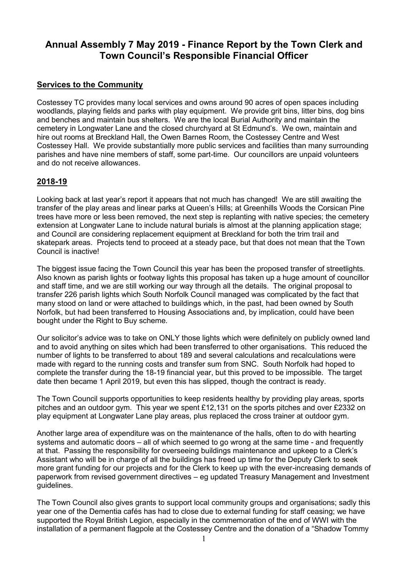# **Annual Assembly 7 May 2019 - Finance Report by the Town Clerk and Town Council's Responsible Financial Officer**

#### **Services to the Community**

Costessey TC provides many local services and owns around 90 acres of open spaces including woodlands, playing fields and parks with play equipment. We provide grit bins, litter bins, dog bins and benches and maintain bus shelters. We are the local Burial Authority and maintain the cemetery in Longwater Lane and the closed churchyard at St Edmund's. We own, maintain and hire out rooms at Breckland Hall, the Owen Barnes Room, the Costessey Centre and West Costessey Hall. We provide substantially more public services and facilities than many surrounding parishes and have nine members of staff, some part-time. Our councillors are unpaid volunteers and do not receive allowances.

### **2018-19**

Looking back at last year's report it appears that not much has changed! We are still awaiting the transfer of the play areas and linear parks at Queen's Hills; at Greenhills Woods the Corsican Pine trees have more or less been removed, the next step is replanting with native species; the cemetery extension at Longwater Lane to include natural burials is almost at the planning application stage; and Council are considering replacement equipment at Breckland for both the trim trail and skatepark areas. Projects tend to proceed at a steady pace, but that does not mean that the Town Council is inactive!

The biggest issue facing the Town Council this year has been the proposed transfer of streetlights. Also known as parish lights or footway lights this proposal has taken up a huge amount of councillor and staff time, and we are still working our way through all the details. The original proposal to transfer 226 parish lights which South Norfolk Council managed was complicated by the fact that many stood on land or were attached to buildings which, in the past, had been owned by South Norfolk, but had been transferred to Housing Associations and, by implication, could have been bought under the Right to Buy scheme.

Our solicitor's advice was to take on ONLY those lights which were definitely on publicly owned land and to avoid anything on sites which had been transferred to other organisations. This reduced the number of lights to be transferred to about 189 and several calculations and recalculations were made with regard to the running costs and transfer sum from SNC. South Norfolk had hoped to complete the transfer during the 18-19 financial year, but this proved to be impossible. The target date then became 1 April 2019, but even this has slipped, though the contract is ready.

The Town Council supports opportunities to keep residents healthy by providing play areas, sports pitches and an outdoor gym. This year we spent £12,131 on the sports pitches and over £2332 on play equipment at Longwater Lane play areas, plus replaced the cross trainer at outdoor gym.

Another large area of expenditure was on the maintenance of the halls, often to do with hearting systems and automatic doors – all of which seemed to go wrong at the same time - and frequently at that. Passing the responsibility for overseeing buildings maintenance and upkeep to a Clerk's Assistant who will be in charge of all the buildings has freed up time for the Deputy Clerk to seek more grant funding for our projects and for the Clerk to keep up with the ever-increasing demands of paperwork from revised government directives – eg updated Treasury Management and Investment guidelines.

The Town Council also gives grants to support local community groups and organisations; sadly this year one of the Dementia cafés has had to close due to external funding for staff ceasing; we have supported the Royal British Legion, especially in the commemoration of the end of WWI with the installation of a permanent flagpole at the Costessey Centre and the donation of a "Shadow Tommy